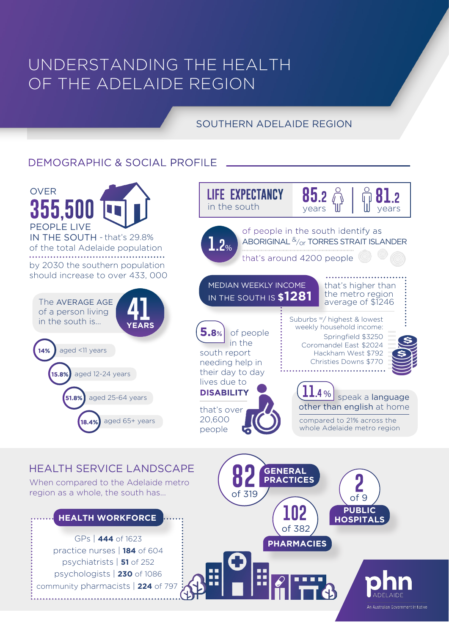# UNDERSTANDING THE HEALTH OF THE ADELAIDE REGION

### SOUTHERN ADELAIDE REGION

### DEMOGRAPHIC & SOCIAL PROFILE



#### HEALTH SERVICE LANDSCAPE

When compared to the Adelaide metro region as a whole, the south has...

#### **HEALTH WORKFORCE**

GPs | **444** of 1623 psychiatrists | **51** of 252 psychologists | **230** of 1086 community pharmacists | 224 of 79<sup>7</sup> practice nurses | **184** of 604

**GENERAL 82 PRACTICES** of 319 **PHARMACIES 102** of 382 **PUBLIC HOSPITAL 2** of 9